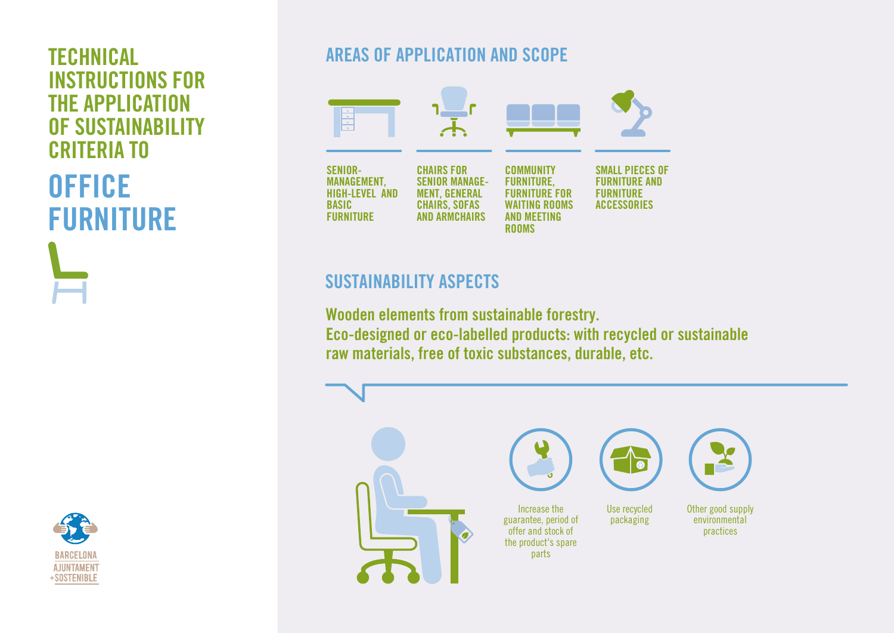# INSTRUCTIONS FOR THE APPLICATION OF SUSTAINABILITY CRITERIA TO **OFFICE** FURNITURE



# **TECHNICAL AREAS OF APPLICATION AND SCOPE**



# SUSTAINABILITY ASPECTS

Wooden elements from sustainable forestry. Eco-designed or eco-labelled products: with recycled or sustainable raw materials, free of toxic substances, durable, etc.

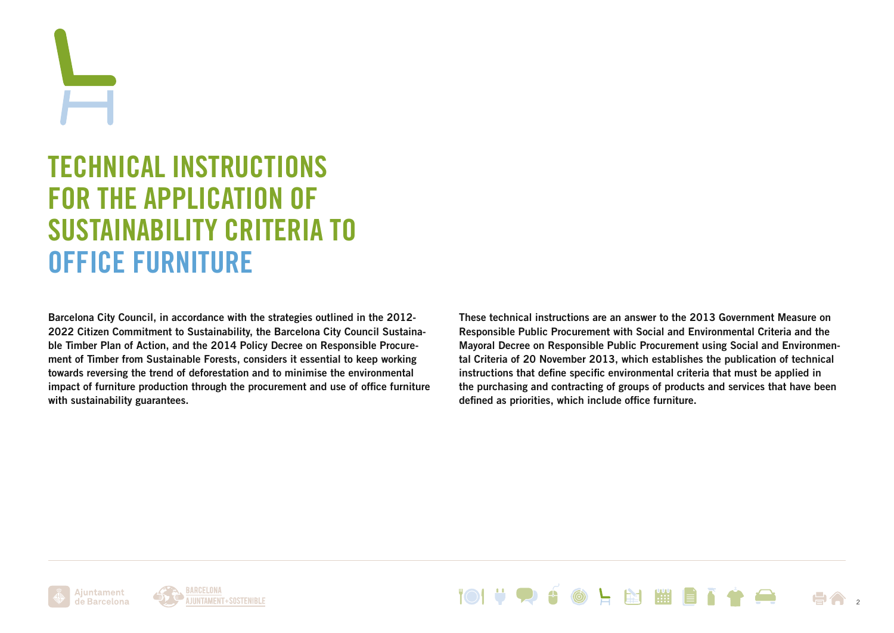TECHNICAL INSTRUCTIONS FOR THE APPLICATION OF SUSTAINABILITY CRITERIA TO OFFICE FURNITURE

Barcelona City Council, in accordance with the strategies outlined in the 2012- 2022 Citizen Commitment to Sustainability, the Barcelona City Council Sustainable Timber Plan of Action, and the 2014 Policy Decree on Responsible Procurement of Timber from Sustainable Forests, considers it essential to keep working towards reversing the trend of deforestation and to minimise the environmental impact of furniture production through the procurement and use of office furniture with sustainability guarantees.

These technical instructions are an answer to the 2013 Government Measure on Responsible Public Procurement with Social and Environmental Criteria and the Mayoral Decree on Responsible Public Procurement using Social and Environmental Criteria of 20 November 2013, which establishes the publication of technical instructions that define specific environmental criteria that must be applied in the purchasing and contracting of groups of products and services that have been defined as priorities, which include office furniture.





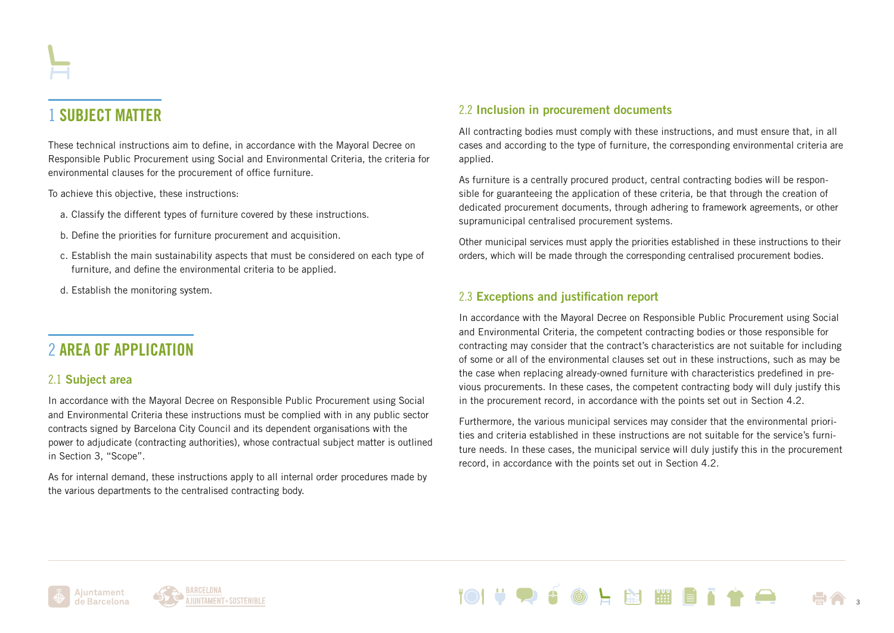# 1 SUBJECT MATTER

These technical instructions aim to define, in accordance with the Mayoral Decree on Responsible Public Procurement using Social and Environmental Criteria, the criteria for environmental clauses for the procurement of office furniture.

To achieve this objective, these instructions:

- a. Classify the different types of furniture covered by these instructions.
- b. Define the priorities for furniture procurement and acquisition.
- c. Establish the main sustainability aspects that must be considered on each type of furniture, and define the environmental criteria to be applied.
- d. Establish the monitoring system.

### 2 AREA OF APPLICATION

#### 2.1 Subject area

In accordance with the Mayoral Decree on Responsible Public Procurement using Social and Environmental Criteria these instructions must be complied with in any public sector contracts signed by Barcelona City Council and its dependent organisations with the power to adjudicate (contracting authorities), whose contractual subject matter is outlined in Section 3, "Scope".

As for internal demand, these instructions apply to all internal order procedures made by the various departments to the centralised contracting body.

#### 2.2 Inclusion in procurement documents

All contracting bodies must comply with these instructions, and must ensure that, in all cases and according to the type of furniture, the corresponding environmental criteria are applied.

As furniture is a centrally procured product, central contracting bodies will be responsible for guaranteeing the application of these criteria, be that through the creation of dedicated procurement documents, through adhering to framework agreements, or other supramunicipal centralised procurement systems.

Other municipal services must apply the priorities established in these instructions to their orders, which will be made through the corresponding centralised procurement bodies.

#### 2.3 Exceptions and justification report

In accordance with the Mayoral Decree on Responsible Public Procurement using Social and Environmental Criteria, the competent contracting bodies or those responsible for contracting may consider that the contract's characteristics are not suitable for including of some or all of the environmental clauses set out in these instructions, such as may be the case when replacing already-owned furniture with characteristics predefined in previous procurements. In these cases, the competent contracting body will duly justify this in the procurement record, in accordance with the points set out in Section 4.2.

Furthermore, the various municipal services may consider that the environmental priorities and criteria established in these instructions are not suitable for the service's furniture needs. In these cases, the municipal service will duly justify this in the procurement record, in accordance with the points set out in Section 4.2.

**图** 



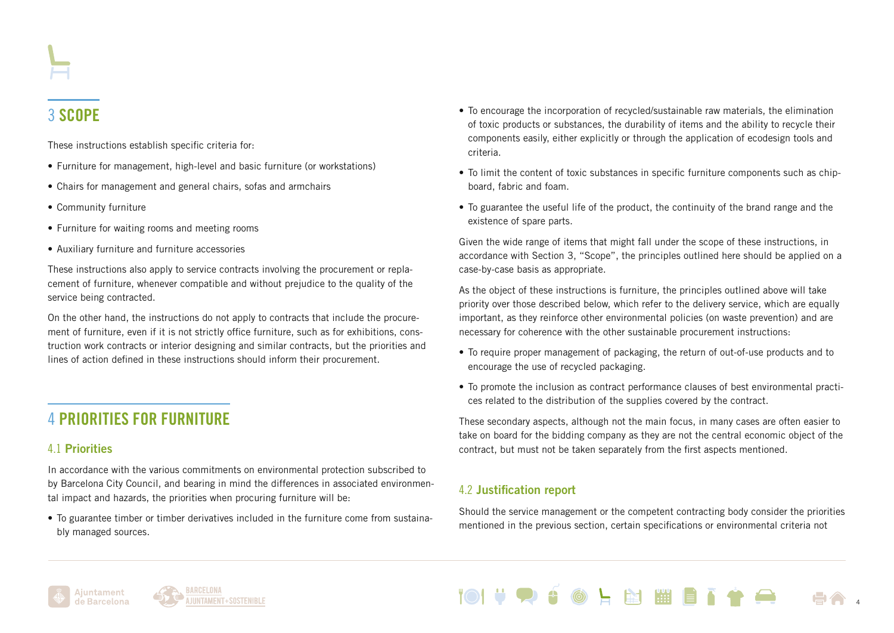# 3 SCOPE

These instructions establish specific criteria for:

- Furniture for management, high-level and basic furniture (or workstations)
- Chairs for management and general chairs, sofas and armchairs
- Community furniture
- Furniture for waiting rooms and meeting rooms
- Auxiliary furniture and furniture accessories

These instructions also apply to service contracts involving the procurement or replacement of furniture, whenever compatible and without prejudice to the quality of the service being contracted.

On the other hand, the instructions do not apply to contracts that include the procurement of furniture, even if it is not strictly office furniture, such as for exhibitions, construction work contracts or interior designing and similar contracts, but the priorities and lines of action defined in these instructions should inform their procurement.

# 4 PRIORITIES FOR FURNITURE

### 4.1 Priorities

In accordance with the various commitments on environmental protection subscribed to by Barcelona City Council, and bearing in mind the differences in associated environmental impact and hazards, the priorities when procuring furniture will be:

• To guarantee timber or timber derivatives included in the furniture come from sustainably managed sources.

- To encourage the incorporation of recycled/sustainable raw materials, the elimination of toxic products or substances, the durability of items and the ability to recycle their components easily, either explicitly or through the application of ecodesign tools and criteria.
- To limit the content of toxic substances in specific furniture components such as chipboard, fabric and foam.
- To guarantee the useful life of the product, the continuity of the brand range and the existence of spare parts.

Given the wide range of items that might fall under the scope of these instructions, in accordance with Section 3, "Scope", the principles outlined here should be applied on a case-by-case basis as appropriate.

As the object of these instructions is furniture, the principles outlined above will take priority over those described below, which refer to the delivery service, which are equally important, as they reinforce other environmental policies (on waste prevention) and are necessary for coherence with the other sustainable procurement instructions:

- To require proper management of packaging, the return of out-of-use products and to encourage the use of recycled packaging.
- To promote the inclusion as contract performance clauses of best environmental practices related to the distribution of the supplies covered by the contract.

These secondary aspects, although not the main focus, in many cases are often easier to take on board for the bidding company as they are not the central economic object of the contract, but must not be taken separately from the first aspects mentioned.

### 4.2 Justification report

Should the service management or the competent contracting body consider the priorities mentioned in the previous section, certain specifications or environmental criteria not





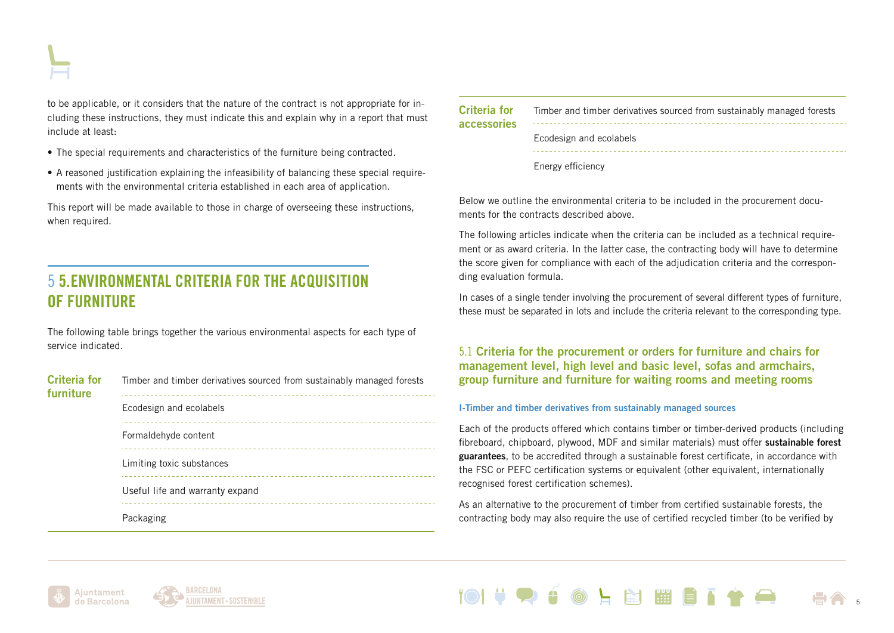to be applicable, or it considers that the nature of the contract is not appropriate for including these instructions, they must indicate this and explain why in a report that must include at least:

- The special requirements and characteristics of the furniture being contracted.
- A reasoned justification explaining the infeasibility of balancing these special requirements with the environmental criteria established in each area of application.

This report will be made available to those in charge of overseeing these instructions, when required.

### 5 5.ENVIRONMENTAL CRITERIA FOR THE ACQUISITION OF FURNITURE

The following table brings together the various environmental aspects for each type of service indicated.

| <b>Criteria for</b><br>furniture | Timber and timber derivatives sourced from sustainably managed forests |
|----------------------------------|------------------------------------------------------------------------|
|                                  | Ecodesign and ecolabels                                                |
|                                  | Formaldehyde content                                                   |
|                                  | Limiting toxic substances                                              |
|                                  | Useful life and warranty expand                                        |
|                                  | Packaging                                                              |

| <b>Criteria for</b><br><b>accessories</b> | Timber and timber derivatives sourced from sustainably managed forests |
|-------------------------------------------|------------------------------------------------------------------------|
|                                           | Ecodesign and ecolabels                                                |
|                                           | Energy efficiency                                                      |

Below we outline the environmental criteria to be included in the procurement documents for the contracts described above.

The following articles indicate when the criteria can be included as a technical requirement or as award criteria. In the latter case, the contracting body will have to determine the score given for compliance with each of the adjudication criteria and the corresponding evaluation formula.

In cases of a single tender involving the procurement of several different types of furniture, these must be separated in lots and include the criteria relevant to the corresponding type.

5.1 Criteria for the procurement or orders for furniture and chairs for management level, high level and basic level, sofas and armchairs, group furniture and furniture for waiting rooms and meeting rooms

#### I-Timber and timber derivatives from sustainably managed sources

Each of the products offered which contains timber or timber-derived products (including fibreboard, chipboard, plywood, MDF and similar materials) must offer sustainable forest guarantees, to be accredited through a sustainable forest certificate, in accordance with the FSC or PEFC certification systems or equivalent (other equivalent, internationally recognised forest certification schemes).

As an alternative to the procurement of timber from certified sustainable forests, the contracting body may also require the use of certified recycled timber (to be verified by



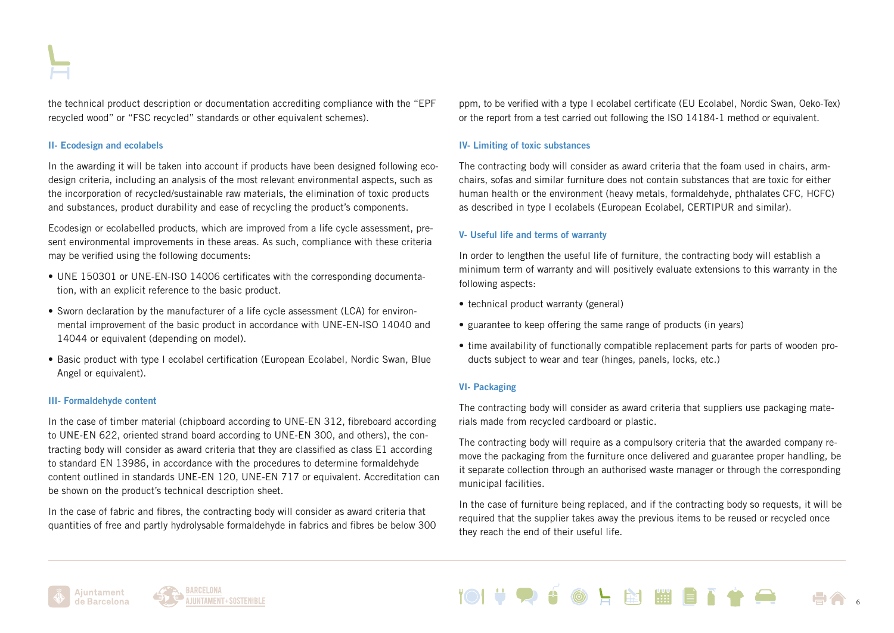the technical product description or documentation accrediting compliance with the "EPF recycled wood" or "FSC recycled" standards or other equivalent schemes).

#### II- Ecodesign and ecolabels

In the awarding it will be taken into account if products have been designed following ecodesign criteria, including an analysis of the most relevant environmental aspects, such as the incorporation of recycled/sustainable raw materials, the elimination of toxic products and substances, product durability and ease of recycling the product's components.

Ecodesign or ecolabelled products, which are improved from a life cycle assessment, present environmental improvements in these areas. As such, compliance with these criteria may be verified using the following documents:

- UNE 150301 or UNE-EN-ISO 14006 certificates with the corresponding documentation, with an explicit reference to the basic product.
- Sworn declaration by the manufacturer of a life cycle assessment (LCA) for environmental improvement of the basic product in accordance with UNE-EN-ISO 14040 and 14044 or equivalent (depending on model).
- Basic product with type I ecolabel certification (European Ecolabel, Nordic Swan, Blue Angel or equivalent).

#### III- Formaldehyde content

In the case of timber material (chipboard according to UNE-EN 312, fibreboard according to UNE-EN 622, oriented strand board according to UNE-EN 300, and others), the contracting body will consider as award criteria that they are classified as class E1 according to standard EN 13986, in accordance with the procedures to determine formaldehyde content outlined in standards UNE-EN 120, UNE-EN 717 or equivalent. Accreditation can be shown on the product's technical description sheet.

In the case of fabric and fibres, the contracting body will consider as award criteria that quantities of free and partly hydrolysable formaldehyde in fabrics and fibres be below 300 ppm, to be verified with a type I ecolabel certificate (EU Ecolabel, Nordic Swan, Oeko-Tex) or the report from a test carried out following the ISO 14184-1 method or equivalent.

#### IV- Limiting of toxic substances

The contracting body will consider as award criteria that the foam used in chairs, armchairs, sofas and similar furniture does not contain substances that are toxic for either human health or the environment (heavy metals, formaldehyde, phthalates CFC, HCFC) as described in type I ecolabels (European Ecolabel, CERTIPUR and similar).

#### V- Useful life and terms of warranty

In order to lengthen the useful life of furniture, the contracting body will establish a minimum term of warranty and will positively evaluate extensions to this warranty in the following aspects:

- technical product warranty (general)
- guarantee to keep offering the same range of products (in years)
- time availability of functionally compatible replacement parts for parts of wooden products subject to wear and tear (hinges, panels, locks, etc.)

#### VI- Packaging

The contracting body will consider as award criteria that suppliers use packaging materials made from recycled cardboard or plastic.

The contracting body will require as a compulsory criteria that the awarded company remove the packaging from the furniture once delivered and guarantee proper handling, be it separate collection through an authorised waste manager or through the corresponding municipal facilities.

In the case of furniture being replaced, and if the contracting body so requests, it will be required that the supplier takes away the previous items to be reused or recycled once they reach the end of their useful life.

**Fast Pill** 



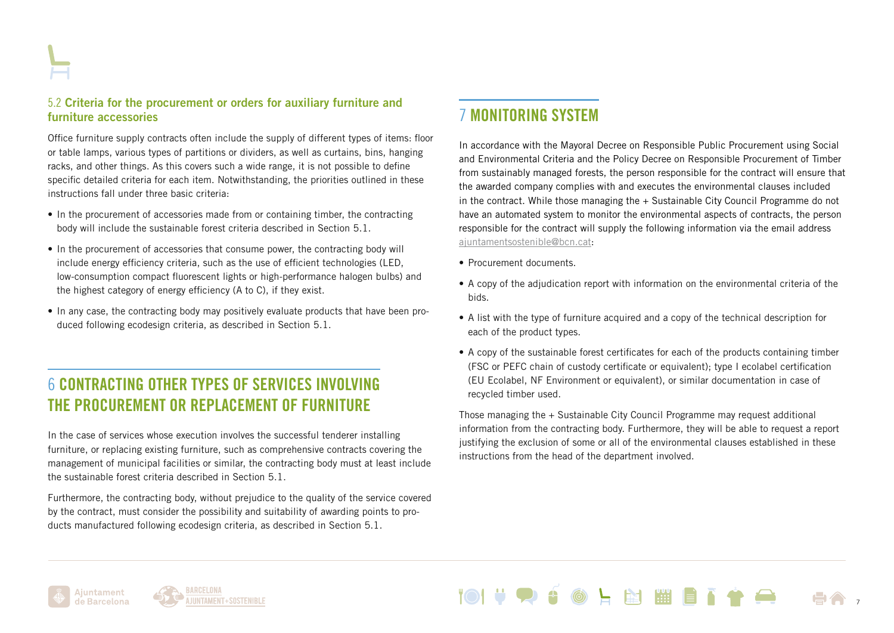#### 5.2 Criteria for the procurement or orders for auxiliary furniture and furniture accessories

Office furniture supply contracts often include the supply of different types of items: floor or table lamps, various types of partitions or dividers, as well as curtains, bins, hanging racks, and other things. As this covers such a wide range, it is not possible to define specific detailed criteria for each item. Notwithstanding, the priorities outlined in these instructions fall under three basic criteria:

- In the procurement of accessories made from or containing timber, the contracting body will include the sustainable forest criteria described in Section 5.1.
- In the procurement of accessories that consume power, the contracting body will include energy efficiency criteria, such as the use of efficient technologies (LED, low-consumption compact fluorescent lights or high-performance halogen bulbs) and the highest category of energy efficiency (A to C), if they exist.
- In any case, the contracting body may positively evaluate products that have been produced following ecodesign criteria, as described in Section 5.1.

### 6 CONTRACTING OTHER TYPES OF SERVICES INVOLVING THE PROCUREMENT OR REPLACEMENT OF FURNITURE

In the case of services whose execution involves the successful tenderer installing furniture, or replacing existing furniture, such as comprehensive contracts covering the management of municipal facilities or similar, the contracting body must at least include the sustainable forest criteria described in Section 5.1.

Furthermore, the contracting body, without prejudice to the quality of the service covered by the contract, must consider the possibility and suitability of awarding points to products manufactured following ecodesign criteria, as described in Section 5.1.

### 7 MONITORING SYSTEM

In accordance with the Mayoral Decree on Responsible Public Procurement using Social and Environmental Criteria and the Policy Decree on Responsible Procurement of Timber from sustainably managed forests, the person responsible for the contract will ensure that the awarded company complies with and executes the environmental clauses included in the contract. While those managing the + Sustainable City Council Programme do not have an automated system to monitor the environmental aspects of contracts, the person responsible for the contract will supply the following information via the email address [ajuntamentsostenible@bcn.cat:](mailto:ajuntamentsostenible%40bcn.cat?subject=)

- Procurement documents.
- A copy of the adjudication report with information on the environmental criteria of the bids.
- A list with the type of furniture acquired and a copy of the technical description for each of the product types.
- A copy of the sustainable forest certificates for each of the products containing timber (FSC or PEFC chain of custody certificate or equivalent); type I ecolabel certification (EU Ecolabel, NF Environment or equivalent), or similar documentation in case of recycled timber used.

Those managing the + Sustainable City Council Programme may request additional information from the contracting body. Furthermore, they will be able to request a report justifying the exclusion of some or all of the environmental clauses established in these instructions from the head of the department involved.